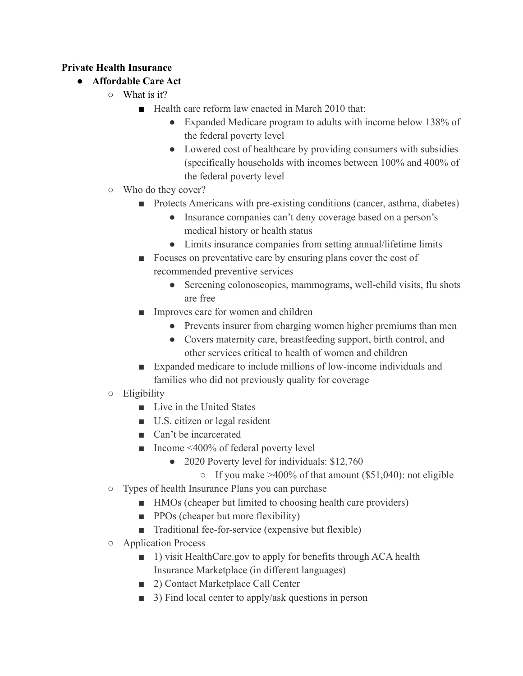## **Private Health Insurance**

- **● Affordable Care Act**
	- What is it?
		- Health care reform law enacted in March 2010 that:
			- Expanded Medicare program to adults with income below 138% of the federal poverty level
			- Lowered cost of healthcare by providing consumers with subsidies (specifically households with incomes between 100% and 400% of the federal poverty level
	- Who do they cover?
		- Protects Americans with pre-existing conditions (cancer, asthma, diabetes)
			- Insurance companies can't deny coverage based on a person's medical history or health status
			- Limits insurance companies from setting annual/lifetime limits
		- Focuses on preventative care by ensuring plans cover the cost of recommended preventive services
			- Screening colonoscopies, mammograms, well-child visits, flu shots are free
		- Improves care for women and children
			- Prevents insurer from charging women higher premiums than men
			- Covers maternity care, breastfeeding support, birth control, and other services critical to health of women and children
		- Expanded medicare to include millions of low-income individuals and families who did not previously quality for coverage
	- Eligibility
		- Live in the United States
		- U.S. citizen or legal resident
		- Can't be incarcerated
		- Income <400% of federal poverty level
			- 2020 Poverty level for individuals: \$12,760
				- $\circ$  If you make >400% of that amount (\$51,040): not eligible
	- Types of health Insurance Plans you can purchase
		- HMOs (cheaper but limited to choosing health care providers)
		- PPOs (cheaper but more flexibility)
		- Traditional fee-for-service (expensive but flexible)
	- Application Process
		- 1) visit HealthCare.gov to apply for benefits through ACA health Insurance Marketplace (in different languages)
		- 2) Contact Marketplace Call Center
		- 3) Find local center to apply/ask questions in person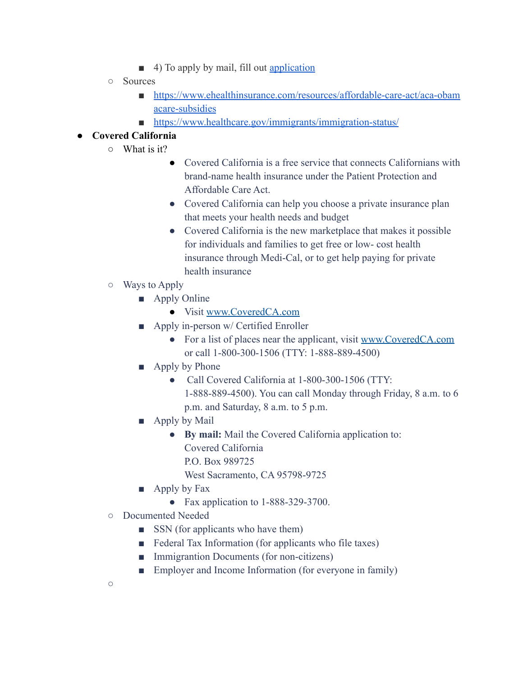- 4) To apply by mail, fill out [application](https://marketplace.cms.gov/applications-and-forms/individuals-and-families-forms)
- Sources
	- [https://www.ehealthinsurance.com/resources/affordable-care-act/aca-obam](https://www.ehealthinsurance.com/resources/affordable-care-act/aca-obamacare-subsidies) [acare-subsidies](https://www.ehealthinsurance.com/resources/affordable-care-act/aca-obamacare-subsidies)
	- <https://www.healthcare.gov/immigrants/immigration-status/>

## **● Covered California**

- What is it?
	- Covered California is a free service that connects Californians with brand-name health insurance under the Patient Protection and Affordable Care Act.
	- Covered California can help you choose a private insurance plan that meets your health needs and budget
	- Covered California is the new marketplace that makes it possible for individuals and families to get free or low- cost health insurance through Medi-Cal, or to get help paying for private health insurance
- Ways to Apply
	- Apply Online
		- Visit [www.CoveredCA.com](http://www.coveredca.com/)
	- Apply in-person w/ Certified Enroller
		- For a list of places near the applicant, visit [www.CoveredCA.com](http://www.coveredca.com/) or call 1-800-300-1506 (TTY: 1-888-889-4500)
	- Apply by Phone
		- Call Covered California at 1-800-300-1506 (TTY: 1-888-889-4500). You can call Monday through Friday, 8 a.m. to 6 p.m. and Saturday, 8 a.m. to 5 p.m.
	- Apply by Mail
		- **By mail:** Mail the Covered California application to:
			- Covered California
			- P.O. Box 989725
			- West Sacramento, CA 95798-9725
	- Apply by Fax
		- Fax application to 1-888-329-3700.
- Documented Needed
	- SSN (for applicants who have them)
	- Federal Tax Information (for applicants who file taxes)
	- Immigrantion Documents (for non-citizens)
	- Employer and Income Information (for everyone in family)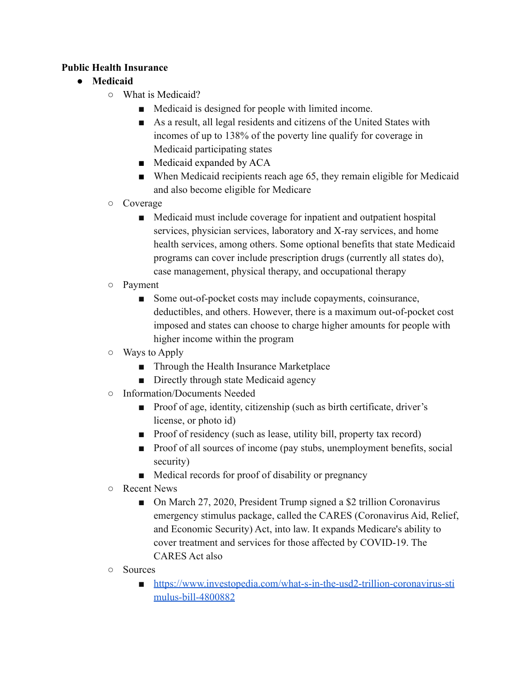#### **Public Health Insurance**

## **● Medicaid**

- What is Medicaid?
	- Medicaid is designed for people with limited income.
	- As a result, all legal residents and citizens of the United States with incomes of up to 138% of the poverty line qualify for coverage in Medicaid participating states
	- Medicaid expanded by ACA
	- When Medicaid recipients reach age 65, they remain eligible for Medicaid and also become eligible for Medicare
- Coverage
	- Medicaid must include coverage for inpatient and outpatient hospital services, physician services, laboratory and X-ray services, and home health services, among others. Some optional benefits that state Medicaid programs can cover include prescription drugs (currently all states do), case management, physical therapy, and occupational therapy
- Payment
	- Some out-of-pocket costs may include copayments, coinsurance, deductibles, and others. However, there is a maximum out-of-pocket cost imposed and states can choose to charge higher amounts for people with higher income within the program
- Ways to Apply
	- Through the Health Insurance Marketplace
	- Directly through state Medicaid agency
- Information/Documents Needed
	- Proof of age, identity, citizenship (such as birth certificate, driver's license, or photo id)
	- Proof of residency (such as lease, utility bill, property tax record)
	- Proof of all sources of income (pay stubs, unemployment benefits, social security)
	- Medical records for proof of disability or pregnancy
- Recent News
	- On March 27, 2020, President Trump signed a \$2 trillion Coronavirus emergency stimulus package, called the CARES (Coronavirus Aid, Relief, and Economic Security) Act, into law. It expands Medicare's ability to cover treatment and services for those affected by COVID-19. The CARES Act also
- Sources
	- [https://www.investopedia.com/what-s-in-the-usd2-trillion-coronavirus-sti](https://www.investopedia.com/what-s-in-the-usd2-trillion-coronavirus-stimulus-bill-4800882) [mulus-bill-4800882](https://www.investopedia.com/what-s-in-the-usd2-trillion-coronavirus-stimulus-bill-4800882)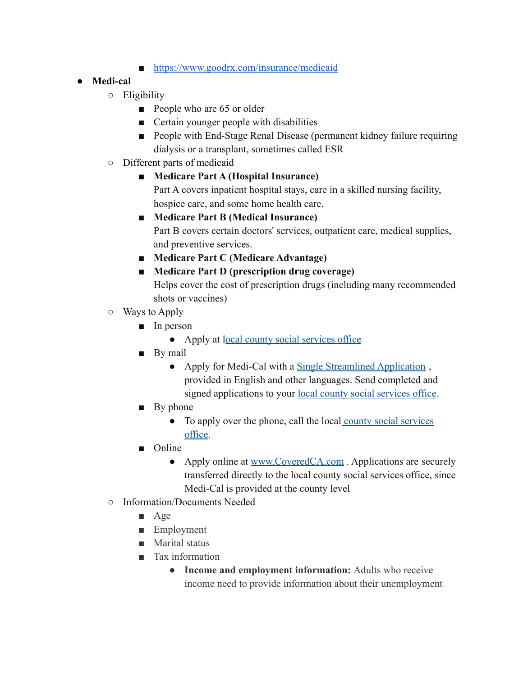■ <https://www.goodrx.com/insurance/medicaid>

## **● Medi-cal**

- Eligibility
	- People who are 65 or older
	- Certain younger people with disabilities
	- People with End-Stage Renal Disease (permanent kidney failure requiring dialysis or a transplant, sometimes called ESR
- Different parts of medicaid

## ■ **Medicare Part A (Hospital Insurance)**

Part A covers inpatient hospital stays, care in a skilled nursing facility, hospice care, and some home health care.

■ **Medicare Part B (Medical Insurance)**

Part B covers certain doctors' services, outpatient care, medical supplies, and preventive services.

- **■ Medicare Part C (Medicare Advantage)**
- **Medicare Part D (prescription drug coverage)**

Helps cover the cost of prescription drugs (including many recommended shots or vaccines)

- $\circ$  Ways to Apply
	- In person
		- Apply at l[ocal county social services office](https://www.dhcs.ca.gov/services/medi-cal/Pages/CountyOffices.aspx)
	- By mail
		- Apply for Medi-Cal with a [Single Streamlined Application](https://www.dhcs.ca.gov/services/medi-cal/eligibility/Pages/SingleStreamApps.aspx), provided in English and other languages. Send completed and signed applications to your <u>[local county social services](https://www.dhcs.ca.gov/services/medi-cal/Pages/CountyOffices.aspx) office</u>.
	- By phone
		- To apply over the phone, call the local [county social](https://www.dhcs.ca.gov/services/medi-cal/Pages/CountyOffices.aspx) services [office.](https://www.dhcs.ca.gov/services/medi-cal/Pages/CountyOffices.aspx)
	- Online
		- Apply online at [www.CoveredCA.com](http://www.coveredca.com/). Applications are securely transferred directly to the local county social services office, since Medi-Cal is provided at the county level
- Information/Documents Needed
	- Age
	- Employment
	- Marital status
	- Tax information
		- **Income and employment information:** Adults who receive income need to provide information about their unemployment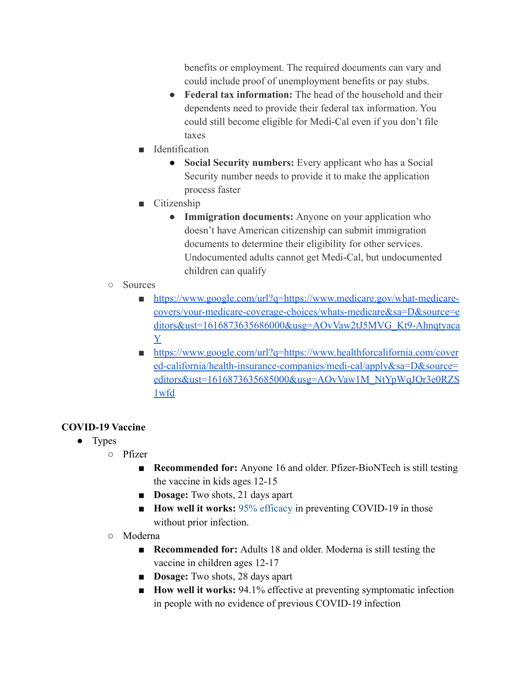benefits or employment. The required documents can vary and could include proof of unemployment benefits or pay stubs.

- **Federal tax information:** The head of the household and their dependents need to provide their federal tax information. You could still become eligible for Medi-Cal even if you don't file taxes
- Identification
	- **Social Security numbers:** Every applicant who has a Social Security number needs to provide it to make the application process faster
- Citizenship
	- **Immigration documents:** Anyone on your application who doesn't have American citizenship can submit immigration documents to determine their eligibility for other services. Undocumented adults cannot get Medi-Cal, but undocumented children can qualify
- Sources
	- [https://www.google.com/url?q=https://www.medicare.gov/what-medicare](https://www.medicare.gov/what-medicare-covers/your-medicare-coverage-choices/whats-medicare)[covers/your-medicare-coverage-choices/whats-medicare&sa=D&source=e](https://www.medicare.gov/what-medicare-covers/your-medicare-coverage-choices/whats-medicare) [ditors&ust=1616873635686000&usg=AOvVaw2tJ5MVG\\_Kt9-Ahnqtyaca](https://www.medicare.gov/what-medicare-covers/your-medicare-coverage-choices/whats-medicare) [Y](https://www.medicare.gov/what-medicare-covers/your-medicare-coverage-choices/whats-medicare)
	- [https://www.google.com/url?q=https://www.healthforcalifornia.com/cover](https://www.healthforcalifornia.com/covered-california/health-insurance-companies/medi-cal/apply) [ed-california/health-insurance-companies/medi-cal/apply&sa=D&source=](https://www.healthforcalifornia.com/covered-california/health-insurance-companies/medi-cal/apply) [editors&ust=1616873635685000&usg=AOvVaw1M\\_NtYpWqJQr3e0RZS](https://www.healthforcalifornia.com/covered-california/health-insurance-companies/medi-cal/apply) [1wfd](https://www.healthforcalifornia.com/covered-california/health-insurance-companies/medi-cal/apply)

# **COVID-19 Vaccine**

- Types
	- Pfizer
		- **Recommended for:** Anyone 16 and older. Pfizer-BioNTech is still testing the vaccine in kids ages 12-15
		- **Dosage:** Two shots, 21 days apart
		- **How well it works:** [95% efficacy](https://www.pfizer.com/news/press-release/press-release-detail/pfizer-and-biontech-announce-publication-results-landmark) in preventing COVID-19 in those without prior infection.
	- Moderna
		- **Recommended for:** Adults 18 and older. Moderna is still testing the vaccine in children ages 12-17
		- **Dosage:** Two shots, 28 days apart
		- **How well it works:** 94.1% effective at preventing symptomatic infection in people with no evidence of previous COVID-19 infection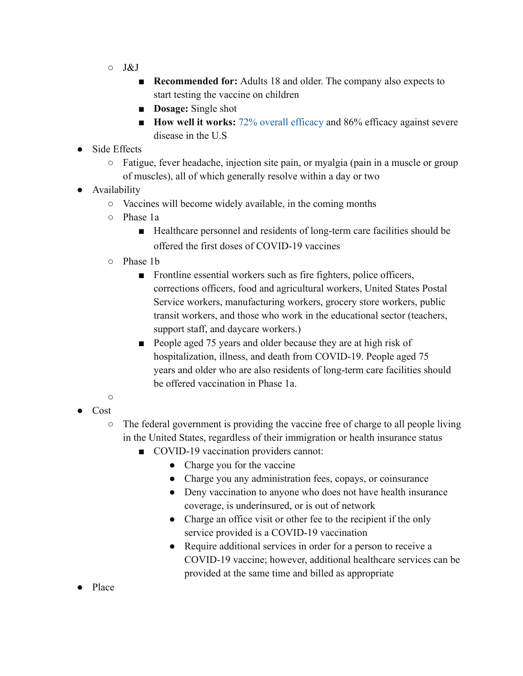- $\circ$  J&J
	- **Recommended for:** Adults 18 and older. The company also expects to start testing the vaccine on children
	- **Dosage:** Single shot
	- **How well it works:** [72% overall efficacy](https://www.nytimes.com/2021/02/24/science/johnson-johnson-covid-vaccine.html) and 86% efficacy against severe disease in the U.S
- Side Effects
	- Fatigue, fever headache, injection site pain, or myalgia (pain in a muscle or group of muscles), all of which generally resolve within a day or two
- **Availability** 
	- Vaccines will become widely available, in the coming months
	- Phase 1a
		- Healthcare personnel and residents of long-term care facilities should be offered the first doses of COVID-19 vaccines
	- Phase 1b
		- Frontline essential workers such as fire fighters, police officers, corrections officers, food and agricultural workers, United States Postal Service workers, manufacturing workers, grocery store workers, public transit workers, and those who work in the educational sector (teachers, support staff, and daycare workers.)
		- People aged 75 years and older because they are at high risk of hospitalization, illness, and death from COVID-19. People aged 75 years and older who are also residents of long-term care facilities should be offered vaccination in Phase 1a.
- $\bigcap$ ● Cost
	- $\circ$  The federal government is providing the vaccine free of charge to all people living in the United States, regardless of their immigration or health insurance status
		- COVID-19 vaccination providers cannot:
			- Charge you for the vaccine
			- Charge you any administration fees, copays, or coinsurance
			- Deny vaccination to anyone who does not have health insurance coverage, is underinsured, or is out of network
			- Charge an office visit or other fee to the recipient if the only service provided is a COVID-19 vaccination
			- Require additional services in order for a person to receive a COVID-19 vaccine; however, additional healthcare services can be provided at the same time and billed as appropriate
- Place